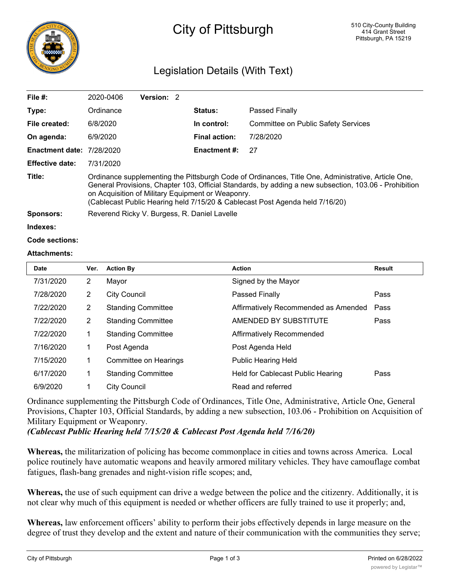

# City of Pittsburgh

## Legislation Details (With Text)

| File $#$ :                       | 2020-0406                                                                                                                                                                                                                                                                                                                                        | Version: 2 |  |                     |                                            |  |  |
|----------------------------------|--------------------------------------------------------------------------------------------------------------------------------------------------------------------------------------------------------------------------------------------------------------------------------------------------------------------------------------------------|------------|--|---------------------|--------------------------------------------|--|--|
| Type:                            | Ordinance                                                                                                                                                                                                                                                                                                                                        |            |  | <b>Status:</b>      | Passed Finally                             |  |  |
| File created:                    | 6/8/2020                                                                                                                                                                                                                                                                                                                                         |            |  | In control:         | <b>Committee on Public Safety Services</b> |  |  |
| On agenda:                       | 6/9/2020                                                                                                                                                                                                                                                                                                                                         |            |  | Final action:       | 7/28/2020                                  |  |  |
| <b>Enactment date: 7/28/2020</b> |                                                                                                                                                                                                                                                                                                                                                  |            |  | <b>Enactment #:</b> | 27                                         |  |  |
| <b>Effective date:</b>           | 7/31/2020                                                                                                                                                                                                                                                                                                                                        |            |  |                     |                                            |  |  |
| Title:                           | Ordinance supplementing the Pittsburgh Code of Ordinances, Title One, Administrative, Article One,<br>General Provisions, Chapter 103, Official Standards, by adding a new subsection, 103.06 - Prohibition<br>on Acquisition of Military Equipment or Weaponry.<br>(Cablecast Public Hearing held 7/15/20 & Cablecast Post Agenda held 7/16/20) |            |  |                     |                                            |  |  |
| Sponsors:                        | Reverend Ricky V. Burgess, R. Daniel Lavelle                                                                                                                                                                                                                                                                                                     |            |  |                     |                                            |  |  |
| Indexes:                         |                                                                                                                                                                                                                                                                                                                                                  |            |  |                     |                                            |  |  |

#### **Code sections:**

#### **Attachments:**

| Date      | Ver.           | <b>Action By</b>          | <b>Action</b>                        | <b>Result</b> |
|-----------|----------------|---------------------------|--------------------------------------|---------------|
| 7/31/2020 | $\overline{2}$ | Mayor                     | Signed by the Mayor                  |               |
| 7/28/2020 | 2              | <b>City Council</b>       | Passed Finally                       | Pass          |
| 7/22/2020 | $\overline{2}$ | <b>Standing Committee</b> | Affirmatively Recommended as Amended | Pass          |
| 7/22/2020 | 2              | <b>Standing Committee</b> | AMENDED BY SUBSTITUTE                | Pass          |
| 7/22/2020 | 1              | <b>Standing Committee</b> | Affirmatively Recommended            |               |
| 7/16/2020 | 1              | Post Agenda               | Post Agenda Held                     |               |
| 7/15/2020 | 1              | Committee on Hearings     | <b>Public Hearing Held</b>           |               |
| 6/17/2020 | 1              | <b>Standing Committee</b> | Held for Cablecast Public Hearing    | Pass          |
| 6/9/2020  | 1              | <b>City Council</b>       | Read and referred                    |               |

Ordinance supplementing the Pittsburgh Code of Ordinances, Title One, Administrative, Article One, General Provisions, Chapter 103, Official Standards, by adding a new subsection, 103.06 - Prohibition on Acquisition of Military Equipment or Weaponry.

*(Cablecast Public Hearing held 7/15/20 & Cablecast Post Agenda held 7/16/20)*

**Whereas,** the militarization of policing has become commonplace in cities and towns across America. Local police routinely have automatic weapons and heavily armored military vehicles. They have camouflage combat fatigues, flash-bang grenades and night-vision rifle scopes; and,

**Whereas,** the use of such equipment can drive a wedge between the police and the citizenry. Additionally, it is not clear why much of this equipment is needed or whether officers are fully trained to use it properly; and,

**Whereas,** law enforcement officers' ability to perform their jobs effectively depends in large measure on the degree of trust they develop and the extent and nature of their communication with the communities they serve;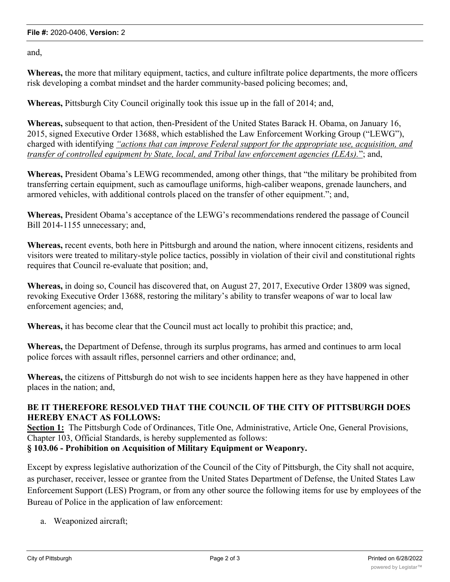#### **File #:** 2020-0406, **Version:** 2

and,

**Whereas,** the more that military equipment, tactics, and culture infiltrate police departments, the more officers risk developing a combat mindset and the harder community-based policing becomes; and,

**Whereas,** Pittsburgh City Council originally took this issue up in the fall of 2014; and,

**Whereas,** subsequent to that action, then-President of the United States Barack H. Obama, on January 16, 2015, signed Executive Order 13688, which established the Law Enforcement Working Group ("LEWG"), charged with identifying *"actions that can improve Federal support for the appropriate use, acquisition, and transfer of controlled equipment by State, local, and Tribal law enforcement agencies (LEAs).*"; and,

**Whereas,** President Obama's LEWG recommended, among other things, that "the military be prohibited from transferring certain equipment, such as camouflage uniforms, high-caliber weapons, grenade launchers, and armored vehicles, with additional controls placed on the transfer of other equipment."; and,

**Whereas,** President Obama's acceptance of the LEWG's recommendations rendered the passage of Council Bill 2014-1155 unnecessary; and,

**Whereas,** recent events, both here in Pittsburgh and around the nation, where innocent citizens, residents and visitors were treated to military-style police tactics, possibly in violation of their civil and constitutional rights requires that Council re-evaluate that position; and,

**Whereas,** in doing so, Council has discovered that, on August 27, 2017, Executive Order 13809 was signed, revoking Executive Order 13688, restoring the military's ability to transfer weapons of war to local law enforcement agencies; and,

**Whereas,** it has become clear that the Council must act locally to prohibit this practice; and,

**Whereas,** the Department of Defense, through its surplus programs, has armed and continues to arm local police forces with assault rifles, personnel carriers and other ordinance; and,

**Whereas,** the citizens of Pittsburgh do not wish to see incidents happen here as they have happened in other places in the nation; and,

### **BE IT THEREFORE RESOLVED THAT THE COUNCIL OF THE CITY OF PITTSBURGH DOES HEREBY ENACT AS FOLLOWS:**

**Section 1:** The Pittsburgh Code of Ordinances, Title One, Administrative, Article One, General Provisions, Chapter 103, Official Standards, is hereby supplemented as follows:

**§ 103.06 - Prohibition on Acquisition of Military Equipment or Weaponry.**

Except by express legislative authorization of the Council of the City of Pittsburgh, the City shall not acquire, as purchaser, receiver, lessee or grantee from the United States Department of Defense, the United States Law Enforcement Support (LES) Program, or from any other source the following items for use by employees of the Bureau of Police in the application of law enforcement:

a. Weaponized aircraft;